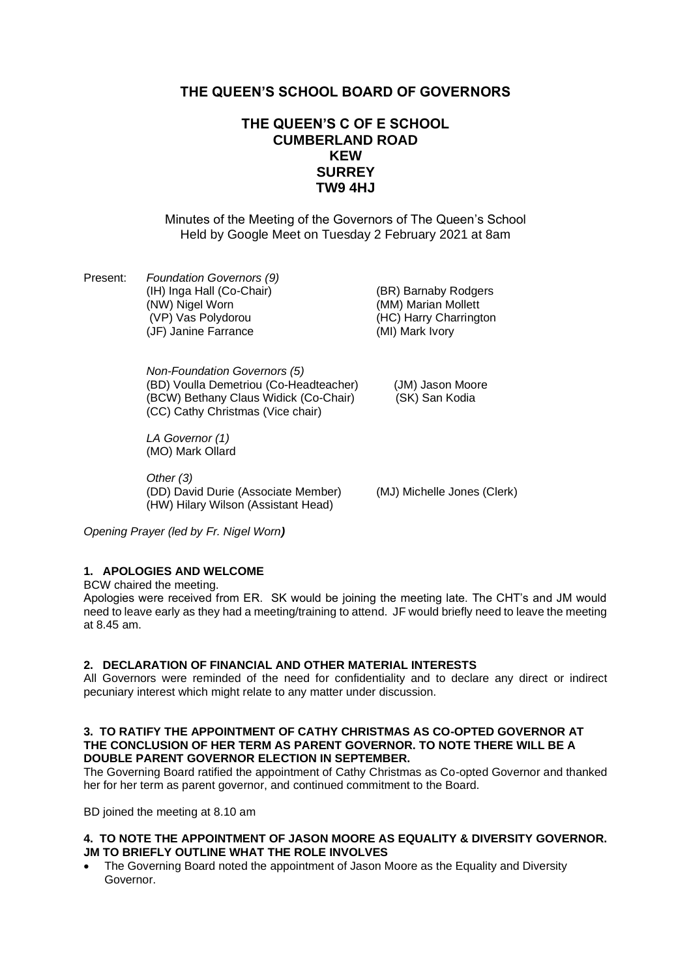# **THE QUEEN'S SCHOOL BOARD OF GOVERNORS**

# **THE QUEEN'S C OF E SCHOOL CUMBERLAND ROAD KEW SURREY TW9 4HJ**

Minutes of the Meeting of the Governors of The Queen's School Held by Google Meet on Tuesday 2 February 2021 at 8am

Present: *Foundation Governors (9)* (IH) Inga Hall (Co-Chair) (BR) Barnaby Rodgers<br>(NW) Nigel Worn (MM) Marian Mollett (VP) Vas Polydorou (HC) Harry Charrington (JF) Janine Farrance (MI) Mark Ivory

(MM) Marian Mollett

*Non-Foundation Governors (5)* (BD) Voulla Demetriou (Co-Headteacher) (JM) Jason Moore (BCW) Bethany Claus Widick (Co-Chair) (SK) San Kodia (CC) Cathy Christmas (Vice chair)

*LA Governor (1)* (MO) Mark Ollard

*Other (3)* (DD) David Durie (Associate Member) (MJ) Michelle Jones (Clerk) (HW) Hilary Wilson (Assistant Head)

*Opening Prayer (led by Fr. Nigel Worn)*

# **1. APOLOGIES AND WELCOME**

BCW chaired the meeting.

Apologies were received from ER. SK would be joining the meeting late. The CHT's and JM would need to leave early as they had a meeting/training to attend. JF would briefly need to leave the meeting at 8.45 am.

#### **2. DECLARATION OF FINANCIAL AND OTHER MATERIAL INTERESTS**

All Governors were reminded of the need for confidentiality and to declare any direct or indirect pecuniary interest which might relate to any matter under discussion.

#### **3. TO RATIFY THE APPOINTMENT OF CATHY CHRISTMAS AS CO-OPTED GOVERNOR AT THE CONCLUSION OF HER TERM AS PARENT GOVERNOR. TO NOTE THERE WILL BE A DOUBLE PARENT GOVERNOR ELECTION IN SEPTEMBER.**

The Governing Board ratified the appointment of Cathy Christmas as Co-opted Governor and thanked her for her term as parent governor, and continued commitment to the Board.

BD joined the meeting at 8.10 am

## **4. TO NOTE THE APPOINTMENT OF JASON MOORE AS EQUALITY & DIVERSITY GOVERNOR. JM TO BRIEFLY OUTLINE WHAT THE ROLE INVOLVES**

• The Governing Board noted the appointment of Jason Moore as the Equality and Diversity Governor.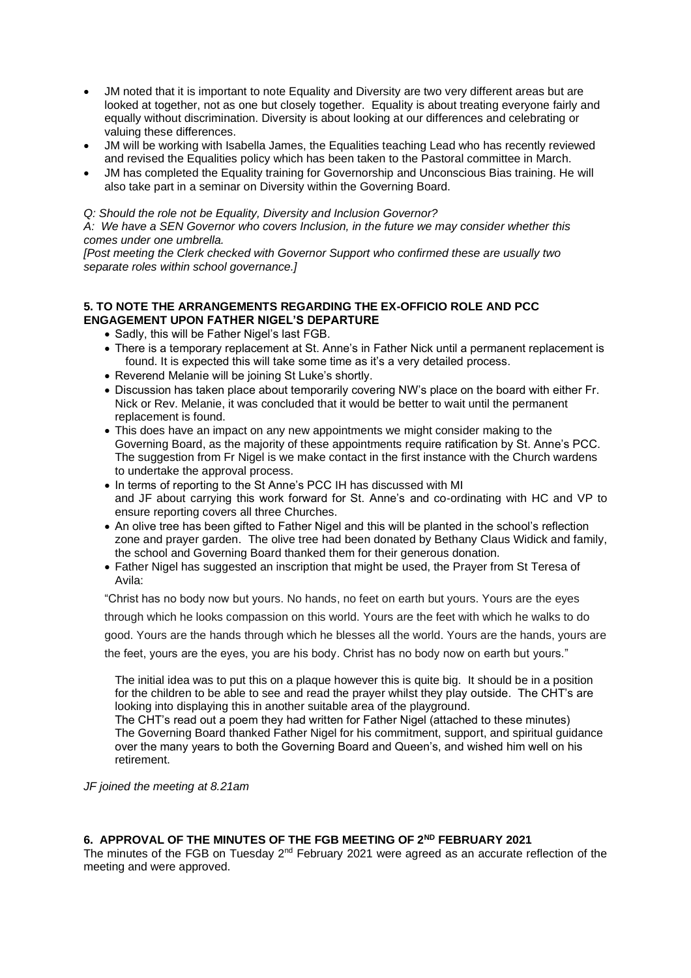- JM noted that it is important to note Equality and Diversity are two very different areas but are looked at together, not as one but closely together. Equality is about treating everyone fairly and equally without discrimination. Diversity is about looking at our differences and celebrating or valuing these differences.
- JM will be working with Isabella James, the Equalities teaching Lead who has recently reviewed and revised the Equalities policy which has been taken to the Pastoral committee in March.
- JM has completed the Equality training for Governorship and Unconscious Bias training. He will also take part in a seminar on Diversity within the Governing Board.

### *Q: Should the role not be Equality, Diversity and Inclusion Governor?*

*A: We have a SEN Governor who covers Inclusion, in the future we may consider whether this comes under one umbrella.*

*[Post meeting the Clerk checked with Governor Support who confirmed these are usually two separate roles within school governance.]*

## **5. TO NOTE THE ARRANGEMENTS REGARDING THE EX-OFFICIO ROLE AND PCC ENGAGEMENT UPON FATHER NIGEL'S DEPARTURE**

- Sadly, this will be Father Nigel's last FGB.
- There is a temporary replacement at St. Anne's in Father Nick until a permanent replacement is found. It is expected this will take some time as it's a very detailed process.
- Reverend Melanie will be joining St Luke's shortly.
- Discussion has taken place about temporarily covering NW's place on the board with either Fr. Nick or Rev. Melanie, it was concluded that it would be better to wait until the permanent replacement is found.
- This does have an impact on any new appointments we might consider making to the Governing Board, as the majority of these appointments require ratification by St. Anne's PCC. The suggestion from Fr Nigel is we make contact in the first instance with the Church wardens to undertake the approval process.
- In terms of reporting to the St Anne's PCC IH has discussed with MI and JF about carrying this work forward for St. Anne's and co-ordinating with HC and VP to ensure reporting covers all three Churches.
- An olive tree has been gifted to Father Nigel and this will be planted in the school's reflection zone and prayer garden. The olive tree had been donated by Bethany Claus Widick and family, the school and Governing Board thanked them for their generous donation.
- Father Nigel has suggested an inscription that might be used, the Prayer from St Teresa of Avila:

"Christ has no body now but yours. No hands, no feet on earth but yours. Yours are the eyes through which he looks compassion on this world. Yours are the feet with which he walks to do good. Yours are the hands through which he blesses all the world. Yours are the hands, yours are the feet, yours are the eyes, you are his body. Christ has no body now on earth but yours."

The initial idea was to put this on a plaque however this is quite big. It should be in a position for the children to be able to see and read the prayer whilst they play outside. The CHT's are looking into displaying this in another suitable area of the playground.

The CHT's read out a poem they had written for Father Nigel (attached to these minutes) The Governing Board thanked Father Nigel for his commitment, support, and spiritual guidance over the many years to both the Governing Board and Queen's, and wished him well on his retirement.

*JF joined the meeting at 8.21am* 

# **6. APPROVAL OF THE MINUTES OF THE FGB MEETING OF 2ND FEBRUARY 2021**

The minutes of the FGB on Tuesday 2nd February 2021 were agreed as an accurate reflection of the meeting and were approved.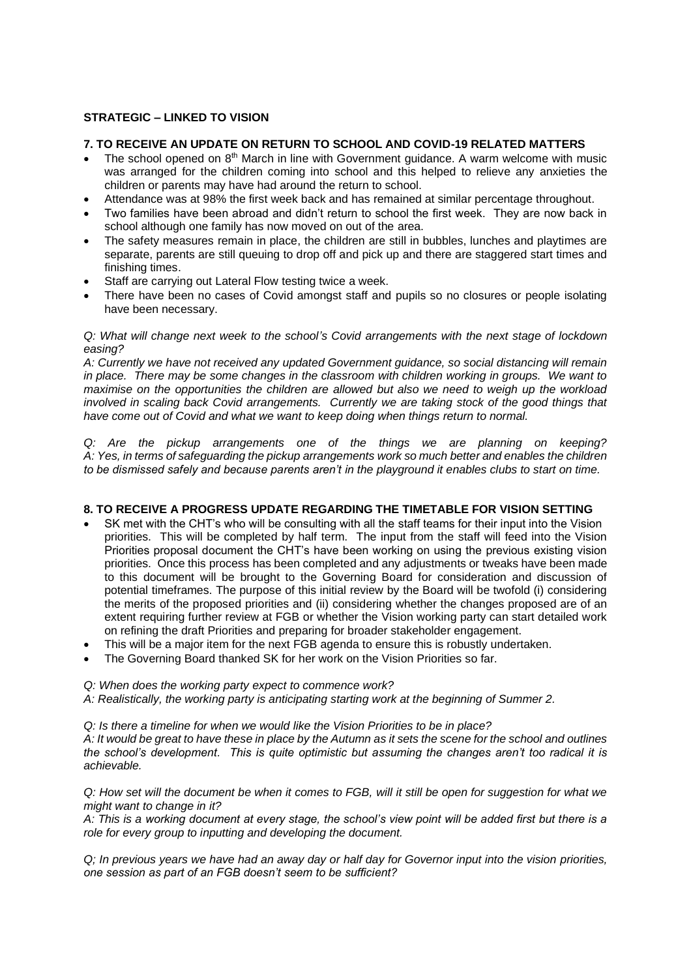# **STRATEGIC – LINKED TO VISION**

## **7. TO RECEIVE AN UPDATE ON RETURN TO SCHOOL AND COVID-19 RELATED MATTERS**

- The school opened on  $8<sup>th</sup>$  March in line with Government guidance. A warm welcome with music was arranged for the children coming into school and this helped to relieve any anxieties the children or parents may have had around the return to school.
- Attendance was at 98% the first week back and has remained at similar percentage throughout.
- Two families have been abroad and didn't return to school the first week. They are now back in school although one family has now moved on out of the area.
- The safety measures remain in place, the children are still in bubbles, lunches and playtimes are separate, parents are still queuing to drop off and pick up and there are staggered start times and finishing times.
- Staff are carrying out Lateral Flow testing twice a week.
- There have been no cases of Covid amongst staff and pupils so no closures or people isolating have been necessary.

## *Q: What will change next week to the school's Covid arrangements with the next stage of lockdown easing?*

*A: Currently we have not received any updated Government guidance, so social distancing will remain in place. There may be some changes in the classroom with children working in groups. We want to maximise on the opportunities the children are allowed but also we need to weigh up the workload involved in scaling back Covid arrangements. Currently we are taking stock of the good things that have come out of Covid and what we want to keep doing when things return to normal.*

*Q: Are the pickup arrangements one of the things we are planning on keeping? A: Yes, in terms of safeguarding the pickup arrangements work so much better and enables the children to be dismissed safely and because parents aren't in the playground it enables clubs to start on time.* 

# **8. TO RECEIVE A PROGRESS UPDATE REGARDING THE TIMETABLE FOR VISION SETTING**

- SK met with the CHT's who will be consulting with all the staff teams for their input into the Vision priorities. This will be completed by half term. The input from the staff will feed into the Vision Priorities proposal document the CHT's have been working on using the previous existing vision priorities. Once this process has been completed and any adjustments or tweaks have been made to this document will be brought to the Governing Board for consideration and discussion of potential timeframes. The purpose of this initial review by the Board will be twofold (i) considering the merits of the proposed priorities and (ii) considering whether the changes proposed are of an extent requiring further review at FGB or whether the Vision working party can start detailed work on refining the draft Priorities and preparing for broader stakeholder engagement.
- This will be a major item for the next FGB agenda to ensure this is robustly undertaken.
- The Governing Board thanked SK for her work on the Vision Priorities so far.

#### *Q: When does the working party expect to commence work?*

*A: Realistically, the working party is anticipating starting work at the beginning of Summer 2.*

*Q: Is there a timeline for when we would like the Vision Priorities to be in place?*

*A: It would be great to have these in place by the Autumn as it sets the scene for the school and outlines the school's development. This is quite optimistic but assuming the changes aren't too radical it is achievable.*

*Q: How set will the document be when it comes to FGB, will it still be open for suggestion for what we might want to change in it?*

*A: This is a working document at every stage, the school's view point will be added first but there is a role for every group to inputting and developing the document.*

*Q; In previous years we have had an away day or half day for Governor input into the vision priorities, one session as part of an FGB doesn't seem to be sufficient?*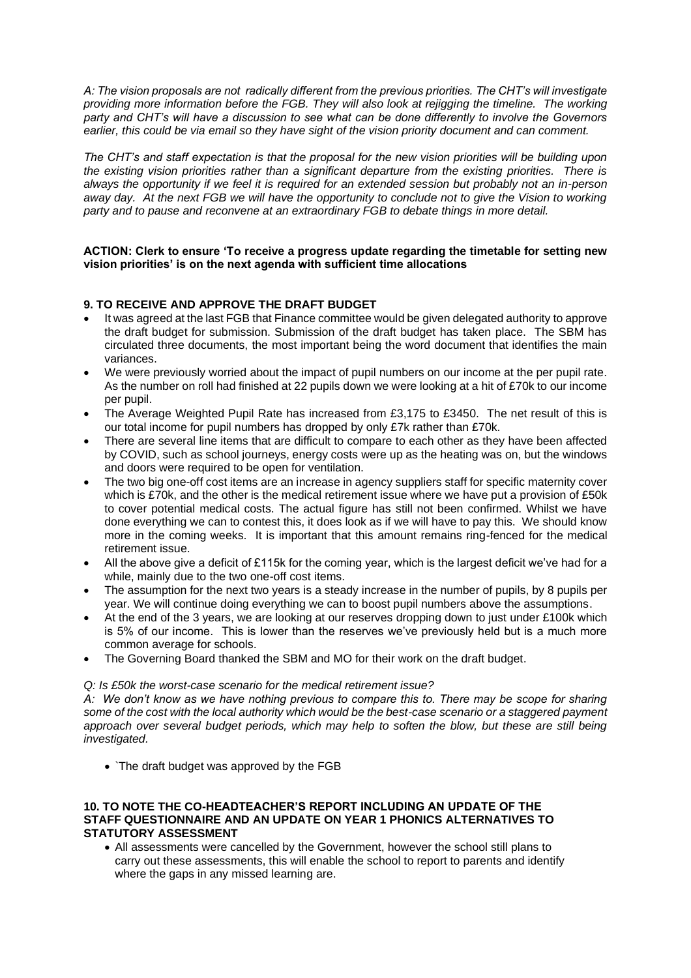*A: The vision proposals are not radically different from the previous priorities. The CHT's will investigate providing more information before the FGB. They will also look at rejigging the timeline. The working party and CHT's will have a discussion to see what can be done differently to involve the Governors earlier, this could be via email so they have sight of the vision priority document and can comment.*

*The CHT's and staff expectation is that the proposal for the new vision priorities will be building upon the existing vision priorities rather than a significant departure from the existing priorities. There is always the opportunity if we feel it is required for an extended session but probably not an in-person away day. At the next FGB we will have the opportunity to conclude not to give the Vision to working party and to pause and reconvene at an extraordinary FGB to debate things in more detail.*

### **ACTION: Clerk to ensure 'To receive a progress update regarding the timetable for setting new vision priorities' is on the next agenda with sufficient time allocations**

# **9. TO RECEIVE AND APPROVE THE DRAFT BUDGET**

- It was agreed at the last FGB that Finance committee would be given delegated authority to approve the draft budget for submission. Submission of the draft budget has taken place. The SBM has circulated three documents, the most important being the word document that identifies the main variances.
- We were previously worried about the impact of pupil numbers on our income at the per pupil rate. As the number on roll had finished at 22 pupils down we were looking at a hit of £70k to our income per pupil.
- The Average Weighted Pupil Rate has increased from £3,175 to £3450. The net result of this is our total income for pupil numbers has dropped by only £7k rather than £70k.
- There are several line items that are difficult to compare to each other as they have been affected by COVID, such as school journeys, energy costs were up as the heating was on, but the windows and doors were required to be open for ventilation.
- The two big one-off cost items are an increase in agency suppliers staff for specific maternity cover which is £70k, and the other is the medical retirement issue where we have put a provision of £50k to cover potential medical costs. The actual figure has still not been confirmed. Whilst we have done everything we can to contest this, it does look as if we will have to pay this. We should know more in the coming weeks. It is important that this amount remains ring-fenced for the medical retirement issue.
- All the above give a deficit of £115k for the coming year, which is the largest deficit we've had for a while, mainly due to the two one-off cost items.
- The assumption for the next two years is a steady increase in the number of pupils, by 8 pupils per year. We will continue doing everything we can to boost pupil numbers above the assumptions.
- At the end of the 3 years, we are looking at our reserves dropping down to just under £100k which is 5% of our income. This is lower than the reserves we've previously held but is a much more common average for schools.
- The Governing Board thanked the SBM and MO for their work on the draft budget.

#### *Q: Is £50k the worst-case scenario for the medical retirement issue?*

*A: We don't know as we have nothing previous to compare this to. There may be scope for sharing some of the cost with the local authority which would be the best-case scenario or a staggered payment approach over several budget periods, which may help to soften the blow, but these are still being investigated.*

• `The draft budget was approved by the FGB

#### **10. TO NOTE THE CO-HEADTEACHER'S REPORT INCLUDING AN UPDATE OF THE STAFF QUESTIONNAIRE AND AN UPDATE ON YEAR 1 PHONICS ALTERNATIVES TO STATUTORY ASSESSMENT**

• All assessments were cancelled by the Government, however the school still plans to carry out these assessments, this will enable the school to report to parents and identify where the gaps in any missed learning are.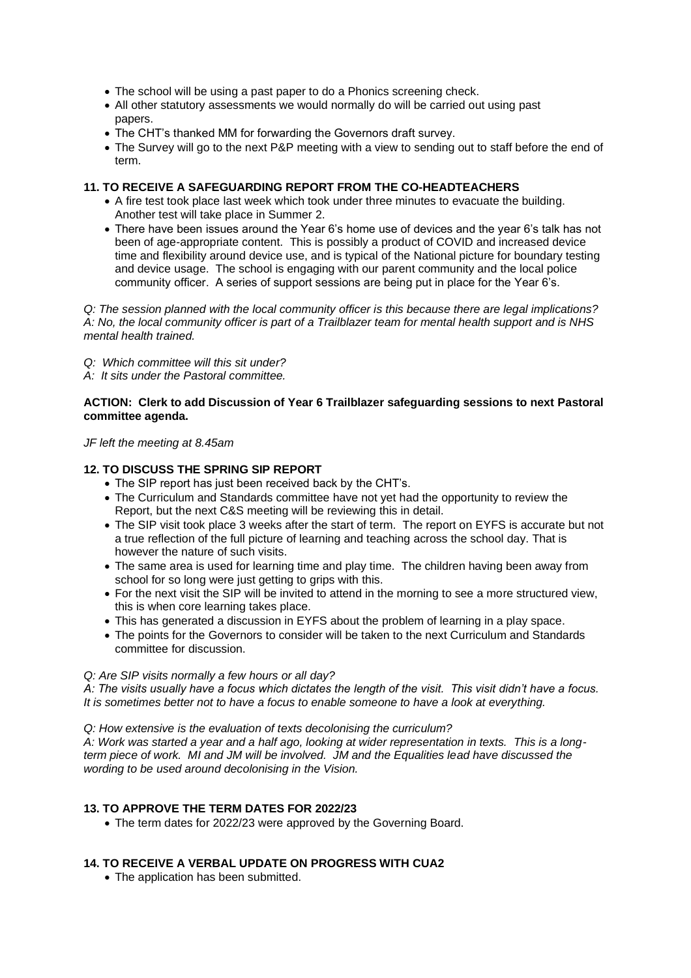- The school will be using a past paper to do a Phonics screening check.
- All other statutory assessments we would normally do will be carried out using past papers.
- The CHT's thanked MM for forwarding the Governors draft survey.
- The Survey will go to the next P&P meeting with a view to sending out to staff before the end of term.

## **11. TO RECEIVE A SAFEGUARDING REPORT FROM THE CO-HEADTEACHERS**

- A fire test took place last week which took under three minutes to evacuate the building. Another test will take place in Summer 2.
- There have been issues around the Year 6's home use of devices and the year 6's talk has not been of age-appropriate content. This is possibly a product of COVID and increased device time and flexibility around device use, and is typical of the National picture for boundary testing and device usage. The school is engaging with our parent community and the local police community officer. A series of support sessions are being put in place for the Year 6's.

*Q: The session planned with the local community officer is this because there are legal implications? A: No, the local community officer is part of a Trailblazer team for mental health support and is NHS mental health trained.*

- *Q: Which committee will this sit under?*
- *A: It sits under the Pastoral committee.*

## **ACTION: Clerk to add Discussion of Year 6 Trailblazer safeguarding sessions to next Pastoral committee agenda.**

*JF left the meeting at 8.45am*

## **12. TO DISCUSS THE SPRING SIP REPORT**

- The SIP report has just been received back by the CHT's.
- The Curriculum and Standards committee have not yet had the opportunity to review the Report, but the next C&S meeting will be reviewing this in detail.
- The SIP visit took place 3 weeks after the start of term. The report on EYFS is accurate but not a true reflection of the full picture of learning and teaching across the school day. That is however the nature of such visits.
- The same area is used for learning time and play time. The children having been away from school for so long were just getting to grips with this.
- For the next visit the SIP will be invited to attend in the morning to see a more structured view, this is when core learning takes place.
- This has generated a discussion in EYFS about the problem of learning in a play space.
- The points for the Governors to consider will be taken to the next Curriculum and Standards committee for discussion.

#### *Q: Are SIP visits normally a few hours or all day?*

*A: The visits usually have a focus which dictates the length of the visit. This visit didn't have a focus. It is sometimes better not to have a focus to enable someone to have a look at everything.*

#### *Q: How extensive is the evaluation of texts decolonising the curriculum?*

*A: Work was started a year and a half ago, looking at wider representation in texts. This is a longterm piece of work. MI and JM will be involved. JM and the Equalities lead have discussed the wording to be used around decolonising in the Vision.*

# **13. TO APPROVE THE TERM DATES FOR 2022/23**

• The term dates for 2022/23 were approved by the Governing Board.

# **14. TO RECEIVE A VERBAL UPDATE ON PROGRESS WITH CUA2**

• The application has been submitted.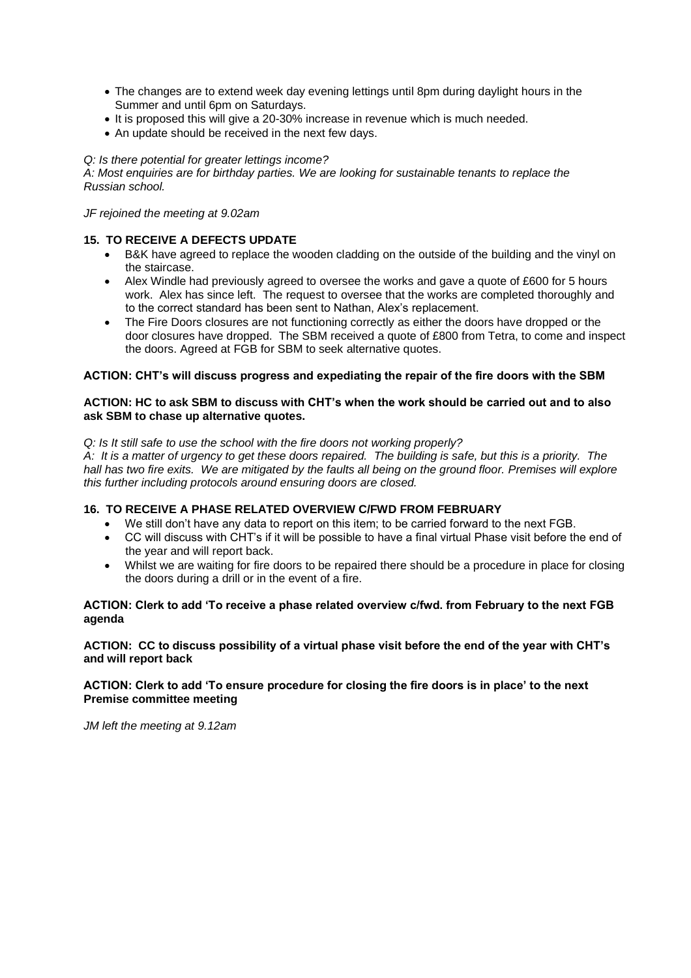- The changes are to extend week day evening lettings until 8pm during daylight hours in the Summer and until 6pm on Saturdays.
- It is proposed this will give a 20-30% increase in revenue which is much needed.
- An update should be received in the next few days.

## *Q: Is there potential for greater lettings income?*

*A: Most enquiries are for birthday parties. We are looking for sustainable tenants to replace the Russian school.*

*JF rejoined the meeting at 9.02am*

# **15. TO RECEIVE A DEFECTS UPDATE**

- B&K have agreed to replace the wooden cladding on the outside of the building and the vinyl on the staircase.
- Alex Windle had previously agreed to oversee the works and gave a quote of £600 for 5 hours work. Alex has since left. The request to oversee that the works are completed thoroughly and to the correct standard has been sent to Nathan, Alex's replacement.
- The Fire Doors closures are not functioning correctly as either the doors have dropped or the door closures have dropped. The SBM received a quote of £800 from Tetra, to come and inspect the doors. Agreed at FGB for SBM to seek alternative quotes.

# **ACTION: CHT's will discuss progress and expediating the repair of the fire doors with the SBM**

## **ACTION: HC to ask SBM to discuss with CHT's when the work should be carried out and to also ask SBM to chase up alternative quotes.**

## *Q: Is It still safe to use the school with the fire doors not working properly?*

*A: It is a matter of urgency to get these doors repaired. The building is safe, but this is a priority. The hall has two fire exits. We are mitigated by the faults all being on the ground floor. Premises will explore this further including protocols around ensuring doors are closed.*

# **16. TO RECEIVE A PHASE RELATED OVERVIEW C/FWD FROM FEBRUARY**

- We still don't have any data to report on this item; to be carried forward to the next FGB.
- CC will discuss with CHT's if it will be possible to have a final virtual Phase visit before the end of the year and will report back.
- Whilst we are waiting for fire doors to be repaired there should be a procedure in place for closing the doors during a drill or in the event of a fire.

# **ACTION: Clerk to add 'To receive a phase related overview c/fwd. from February to the next FGB agenda**

## **ACTION: CC to discuss possibility of a virtual phase visit before the end of the year with CHT's and will report back**

## **ACTION: Clerk to add 'To ensure procedure for closing the fire doors is in place' to the next Premise committee meeting**

*JM left the meeting at 9.12am*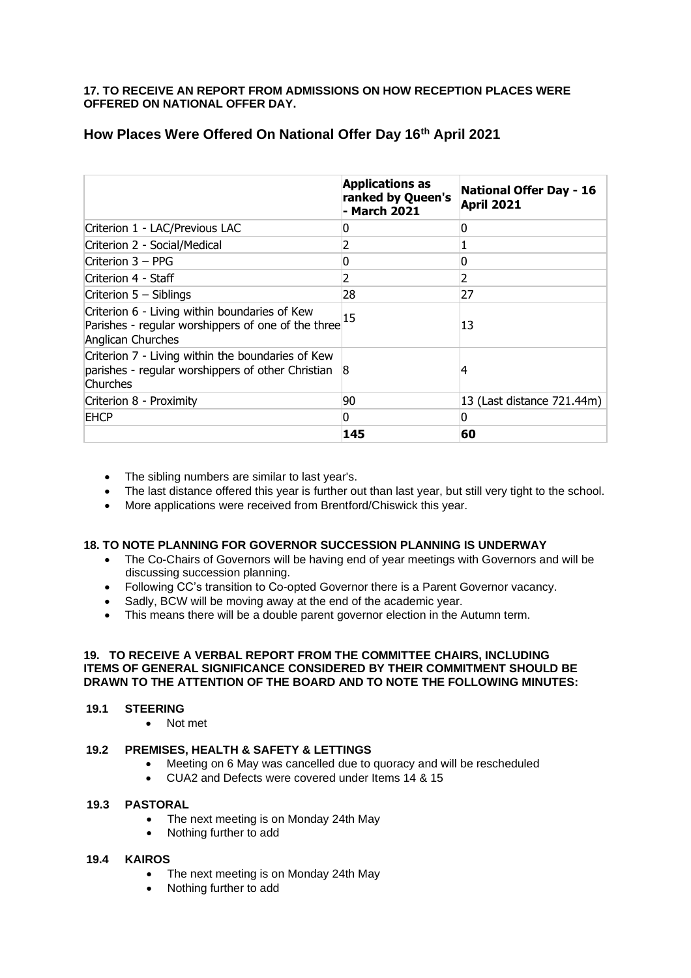# **17. TO RECEIVE AN REPORT FROM ADMISSIONS ON HOW RECEPTION PLACES WERE OFFERED ON NATIONAL OFFER DAY.**

|                                                                                                                          | <b>Applications as</b><br>ranked by Queen's<br>- March 2021 | <b>National Offer Day - 16</b><br><b>April 2021</b> |
|--------------------------------------------------------------------------------------------------------------------------|-------------------------------------------------------------|-----------------------------------------------------|
| Criterion 1 - LAC/Previous LAC                                                                                           | 0                                                           | 0                                                   |
| Criterion 2 - Social/Medical                                                                                             | 2                                                           |                                                     |
| $Criterion 3 - PPG$                                                                                                      | <sup>0</sup>                                                | 0                                                   |
| Criterion 4 - Staff                                                                                                      | 2                                                           | 2                                                   |
| Criterion $5 - S$ iblings                                                                                                | 28                                                          | 27                                                  |
| Criterion 6 - Living within boundaries of Kew<br>Parishes - regular worshippers of one of the three<br>Anglican Churches | 15                                                          | 13                                                  |
| Criterion 7 - Living within the boundaries of Kew<br>parishes - regular worshippers of other Christian<br>Churches       | 8                                                           | 4                                                   |
| Criterion 8 - Proximity                                                                                                  | 90                                                          | 13 (Last distance 721.44m)                          |
| EHCP                                                                                                                     | n                                                           | n                                                   |
|                                                                                                                          | 145                                                         | 60                                                  |

# **How Places Were Offered On National Offer Day 16th April 2021**

- The sibling numbers are similar to last year's.
- The last distance offered this year is further out than last year, but still very tight to the school.
- More applications were received from Brentford/Chiswick this year.

# **18. TO NOTE PLANNING FOR GOVERNOR SUCCESSION PLANNING IS UNDERWAY**

- The Co-Chairs of Governors will be having end of year meetings with Governors and will be discussing succession planning.
- Following CC's transition to Co-opted Governor there is a Parent Governor vacancy.
- Sadly, BCW will be moving away at the end of the academic year.
- This means there will be a double parent governor election in the Autumn term.

#### **19. TO RECEIVE A VERBAL REPORT FROM THE COMMITTEE CHAIRS, INCLUDING ITEMS OF GENERAL SIGNIFICANCE CONSIDERED BY THEIR COMMITMENT SHOULD BE DRAWN TO THE ATTENTION OF THE BOARD AND TO NOTE THE FOLLOWING MINUTES:**

## **19.1 STEERING**

• Not met

# **19.2 PREMISES, HEALTH & SAFETY & LETTINGS**

- Meeting on 6 May was cancelled due to quoracy and will be rescheduled
- CUA2 and Defects were covered under Items 14 & 15

#### **19.3 PASTORAL**

- The next meeting is on Monday 24th May
- Nothing further to add

#### **19.4 KAIROS**

- The next meeting is on Monday 24th May
- Nothing further to add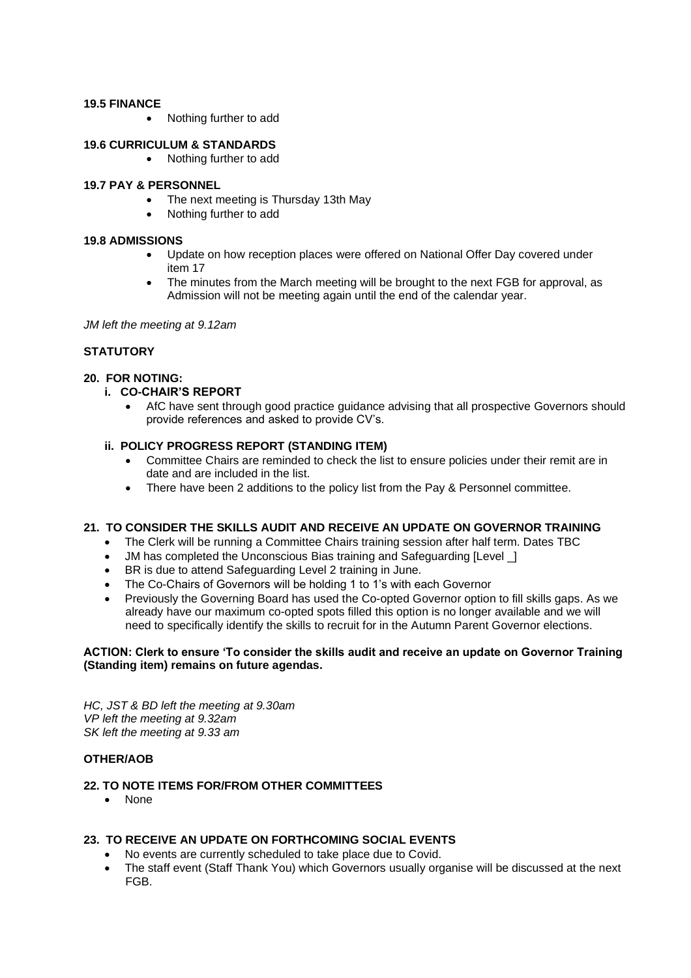## **19.5 FINANCE**

• Nothing further to add

## **19.6 CURRICULUM & STANDARDS**

• Nothing further to add

#### **19.7 PAY & PERSONNEL**

- The next meeting is Thursday 13th May
	- Nothing further to add

#### **19.8 ADMISSIONS**

- Update on how reception places were offered on National Offer Day covered under item 17
- The minutes from the March meeting will be brought to the next FGB for approval, as Admission will not be meeting again until the end of the calendar year.

*JM left the meeting at 9.12am*

# **STATUTORY**

## **20. FOR NOTING:**

## **i. CO-CHAIR'S REPORT**

• AfC have sent through good practice guidance advising that all prospective Governors should provide references and asked to provide CV's.

#### **ii. POLICY PROGRESS REPORT (STANDING ITEM)**

- Committee Chairs are reminded to check the list to ensure policies under their remit are in date and are included in the list.
- There have been 2 additions to the policy list from the Pay & Personnel committee.

# **21. TO CONSIDER THE SKILLS AUDIT AND RECEIVE AN UPDATE ON GOVERNOR TRAINING**

- The Clerk will be running a Committee Chairs training session after half term. Dates TBC
- JM has completed the Unconscious Bias training and Safeguarding [Level 1]
- BR is due to attend Safeguarding Level 2 training in June.
- The Co-Chairs of Governors will be holding 1 to 1's with each Governor
- Previously the Governing Board has used the Co-opted Governor option to fill skills gaps. As we already have our maximum co-opted spots filled this option is no longer available and we will need to specifically identify the skills to recruit for in the Autumn Parent Governor elections.

## **ACTION: Clerk to ensure 'To consider the skills audit and receive an update on Governor Training (Standing item) remains on future agendas.**

*HC, JST & BD left the meeting at 9.30am VP left the meeting at 9.32am SK left the meeting at 9.33 am*

# **OTHER/AOB**

#### **22. TO NOTE ITEMS FOR/FROM OTHER COMMITTEES**

• None

# **23. TO RECEIVE AN UPDATE ON FORTHCOMING SOCIAL EVENTS**

- No events are currently scheduled to take place due to Covid.
- The staff event (Staff Thank You) which Governors usually organise will be discussed at the next FGB.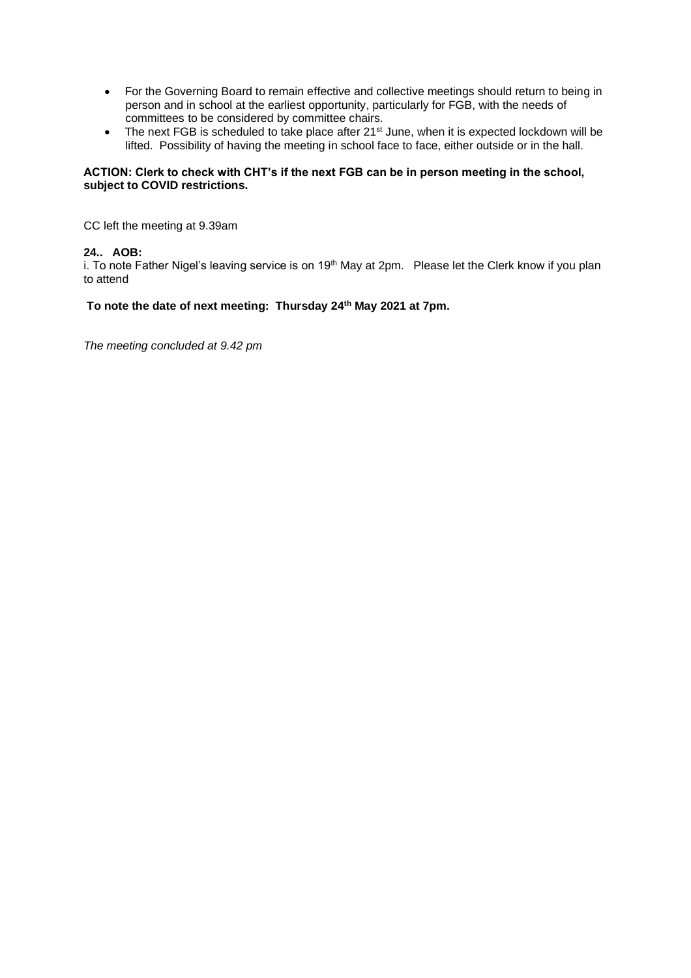- For the Governing Board to remain effective and collective meetings should return to being in person and in school at the earliest opportunity, particularly for FGB, with the needs of committees to be considered by committee chairs.
- The next FGB is scheduled to take place after 21<sup>st</sup> June, when it is expected lockdown will be lifted. Possibility of having the meeting in school face to face, either outside or in the hall.

## **ACTION: Clerk to check with CHT's if the next FGB can be in person meeting in the school, subject to COVID restrictions.**

CC left the meeting at 9.39am

# **24.. AOB:**

i. To note Father Nigel's leaving service is on 19<sup>th</sup> May at 2pm. Please let the Clerk know if you plan to attend

# **To note the date of next meeting: Thursday 24th May 2021 at 7pm.**

*The meeting concluded at 9.42 pm*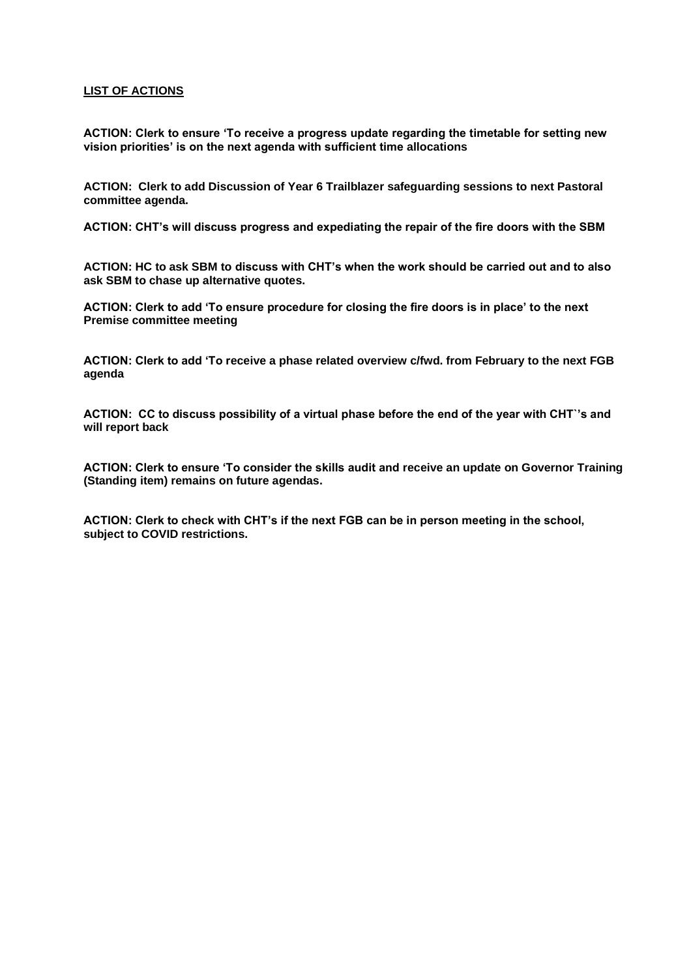#### **LIST OF ACTIONS**

**ACTION: Clerk to ensure 'To receive a progress update regarding the timetable for setting new vision priorities' is on the next agenda with sufficient time allocations**

**ACTION: Clerk to add Discussion of Year 6 Trailblazer safeguarding sessions to next Pastoral committee agenda.**

**ACTION: CHT's will discuss progress and expediating the repair of the fire doors with the SBM**

**ACTION: HC to ask SBM to discuss with CHT's when the work should be carried out and to also ask SBM to chase up alternative quotes.**

**ACTION: Clerk to add 'To ensure procedure for closing the fire doors is in place' to the next Premise committee meeting**

**ACTION: Clerk to add 'To receive a phase related overview c/fwd. from February to the next FGB agenda**

**ACTION: CC to discuss possibility of a virtual phase before the end of the year with CHT`'s and will report back**

**ACTION: Clerk to ensure 'To consider the skills audit and receive an update on Governor Training (Standing item) remains on future agendas.**

**ACTION: Clerk to check with CHT's if the next FGB can be in person meeting in the school, subject to COVID restrictions.**